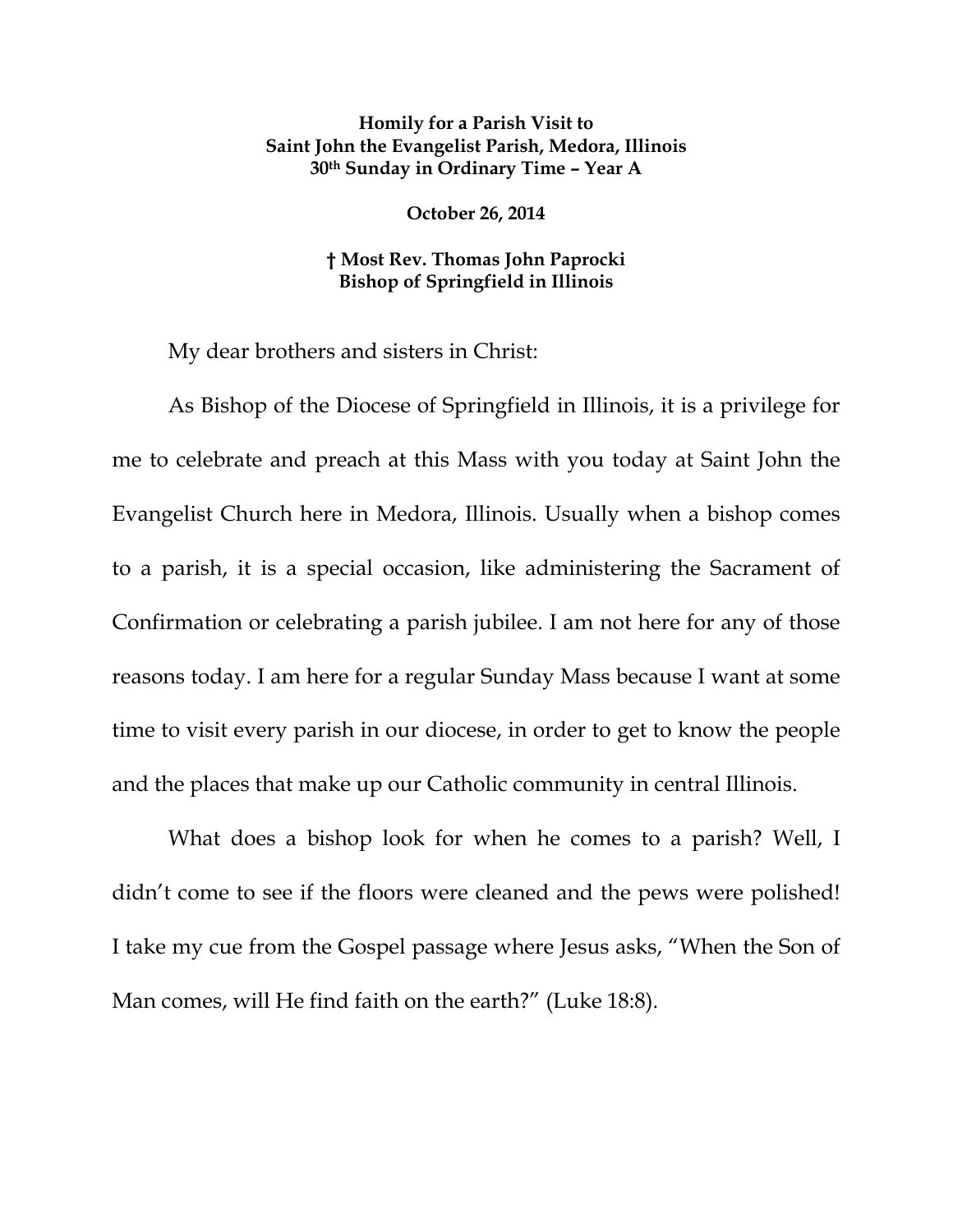## **Homily for a Parish Visit to Saint John the Evangelist Parish, Medora, Illinois 30th Sunday in Ordinary Time – Year A**

**October 26, 2014** 

**† Most Rev. Thomas John Paprocki Bishop of Springfield in Illinois** 

My dear brothers and sisters in Christ:

As Bishop of the Diocese of Springfield in Illinois, it is a privilege for me to celebrate and preach at this Mass with you today at Saint John the Evangelist Church here in Medora, Illinois. Usually when a bishop comes to a parish, it is a special occasion, like administering the Sacrament of Confirmation or celebrating a parish jubilee. I am not here for any of those reasons today. I am here for a regular Sunday Mass because I want at some time to visit every parish in our diocese, in order to get to know the people and the places that make up our Catholic community in central Illinois.

What does a bishop look for when he comes to a parish? Well, I didn't come to see if the floors were cleaned and the pews were polished! I take my cue from the Gospel passage where Jesus asks, "When the Son of Man comes, will He find faith on the earth?" (Luke 18:8).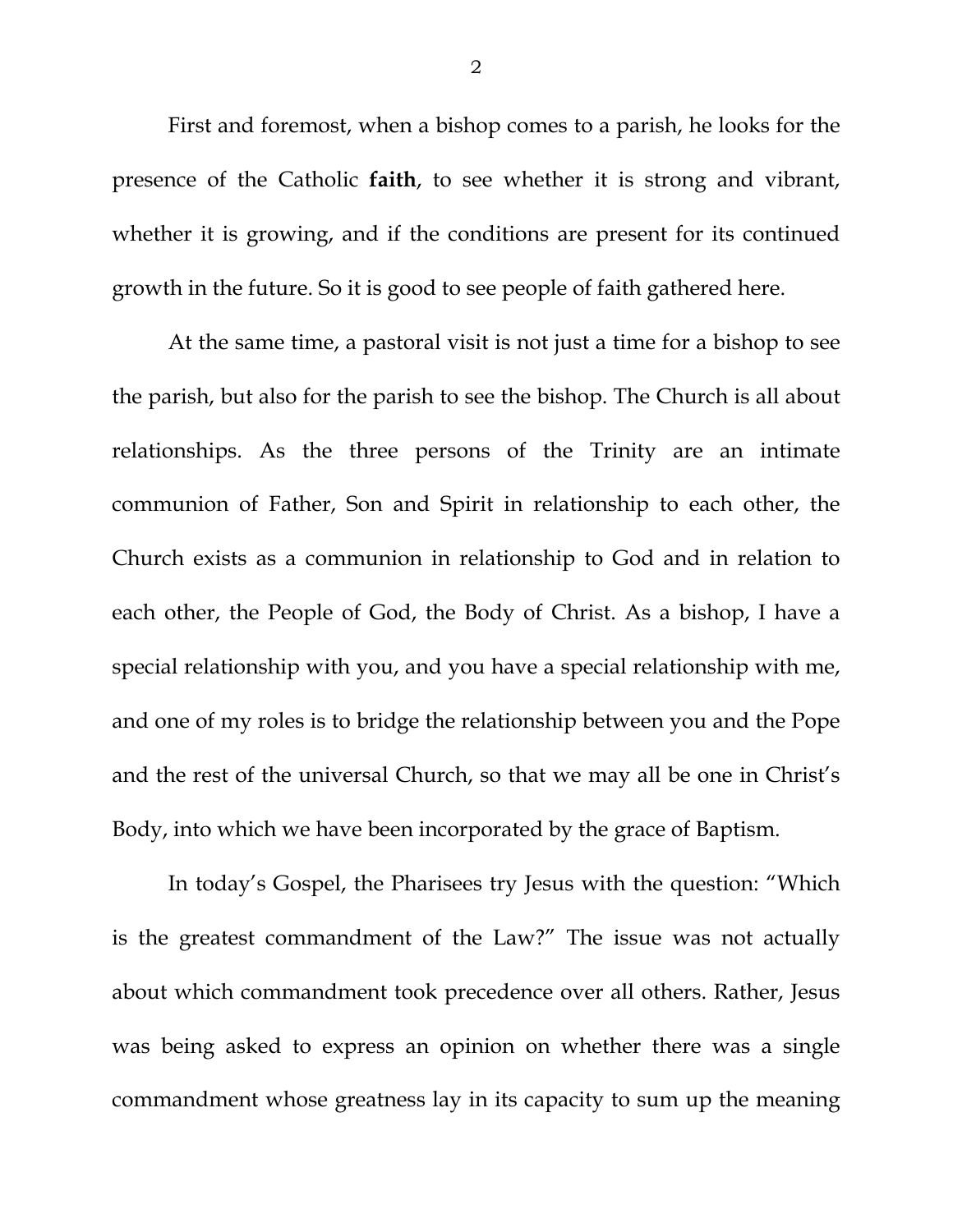First and foremost, when a bishop comes to a parish, he looks for the presence of the Catholic **faith**, to see whether it is strong and vibrant, whether it is growing, and if the conditions are present for its continued growth in the future. So it is good to see people of faith gathered here.

At the same time, a pastoral visit is not just a time for a bishop to see the parish, but also for the parish to see the bishop. The Church is all about relationships. As the three persons of the Trinity are an intimate communion of Father, Son and Spirit in relationship to each other, the Church exists as a communion in relationship to God and in relation to each other, the People of God, the Body of Christ. As a bishop, I have a special relationship with you, and you have a special relationship with me, and one of my roles is to bridge the relationship between you and the Pope and the rest of the universal Church, so that we may all be one in Christ's Body, into which we have been incorporated by the grace of Baptism.

In today's Gospel, the Pharisees try Jesus with the question: "Which is the greatest commandment of the Law?" The issue was not actually about which commandment took precedence over all others. Rather, Jesus was being asked to express an opinion on whether there was a single commandment whose greatness lay in its capacity to sum up the meaning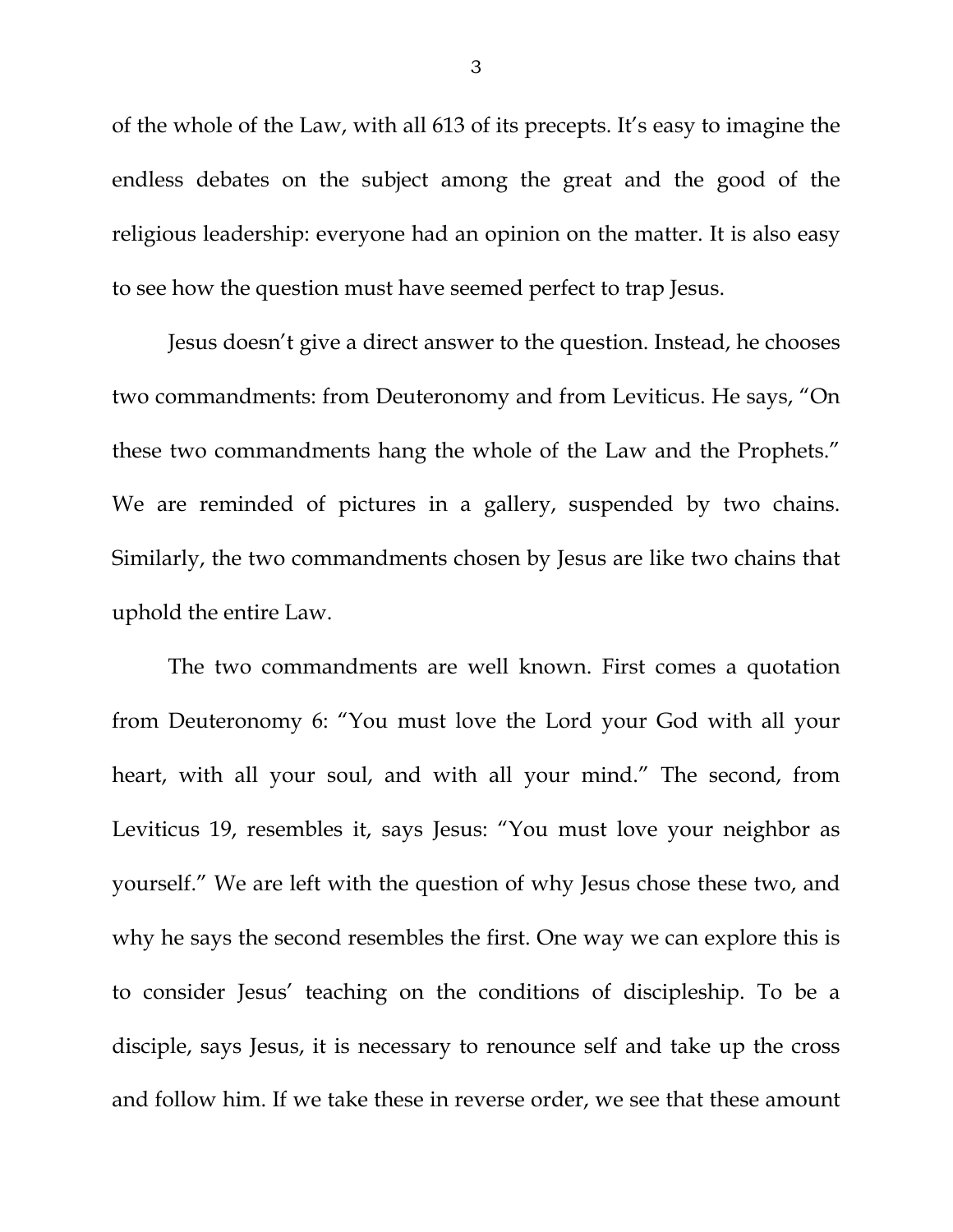of the whole of the Law, with all 613 of its precepts. It's easy to imagine the endless debates on the subject among the great and the good of the religious leadership: everyone had an opinion on the matter. It is also easy to see how the question must have seemed perfect to trap Jesus.

Jesus doesn't give a direct answer to the question. Instead, he chooses two commandments: from Deuteronomy and from Leviticus. He says, "On these two commandments hang the whole of the Law and the Prophets." We are reminded of pictures in a gallery, suspended by two chains. Similarly, the two commandments chosen by Jesus are like two chains that uphold the entire Law.

The two commandments are well known. First comes a quotation from Deuteronomy 6: "You must love the Lord your God with all your heart, with all your soul, and with all your mind." The second, from Leviticus 19, resembles it, says Jesus: "You must love your neighbor as yourself." We are left with the question of why Jesus chose these two, and why he says the second resembles the first. One way we can explore this is to consider Jesus' teaching on the conditions of discipleship. To be a disciple, says Jesus, it is necessary to renounce self and take up the cross and follow him. If we take these in reverse order, we see that these amount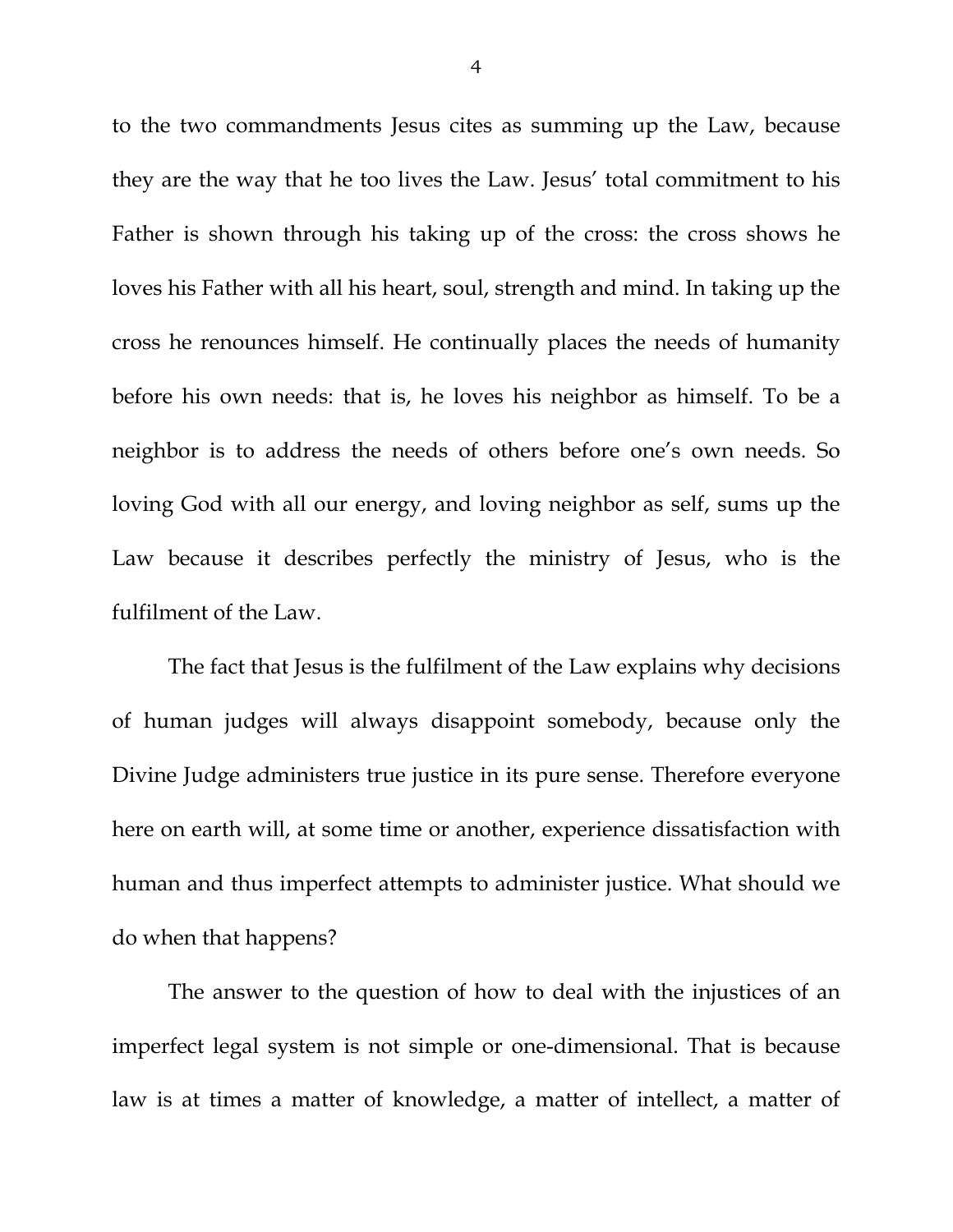to the two commandments Jesus cites as summing up the Law, because they are the way that he too lives the Law. Jesus' total commitment to his Father is shown through his taking up of the cross: the cross shows he loves his Father with all his heart, soul, strength and mind. In taking up the cross he renounces himself. He continually places the needs of humanity before his own needs: that is, he loves his neighbor as himself. To be a neighbor is to address the needs of others before one's own needs. So loving God with all our energy, and loving neighbor as self, sums up the Law because it describes perfectly the ministry of Jesus, who is the fulfilment of the Law.

The fact that Jesus is the fulfilment of the Law explains why decisions of human judges will always disappoint somebody, because only the Divine Judge administers true justice in its pure sense. Therefore everyone here on earth will, at some time or another, experience dissatisfaction with human and thus imperfect attempts to administer justice. What should we do when that happens?

The answer to the question of how to deal with the injustices of an imperfect legal system is not simple or one-dimensional. That is because law is at times a matter of knowledge, a matter of intellect, a matter of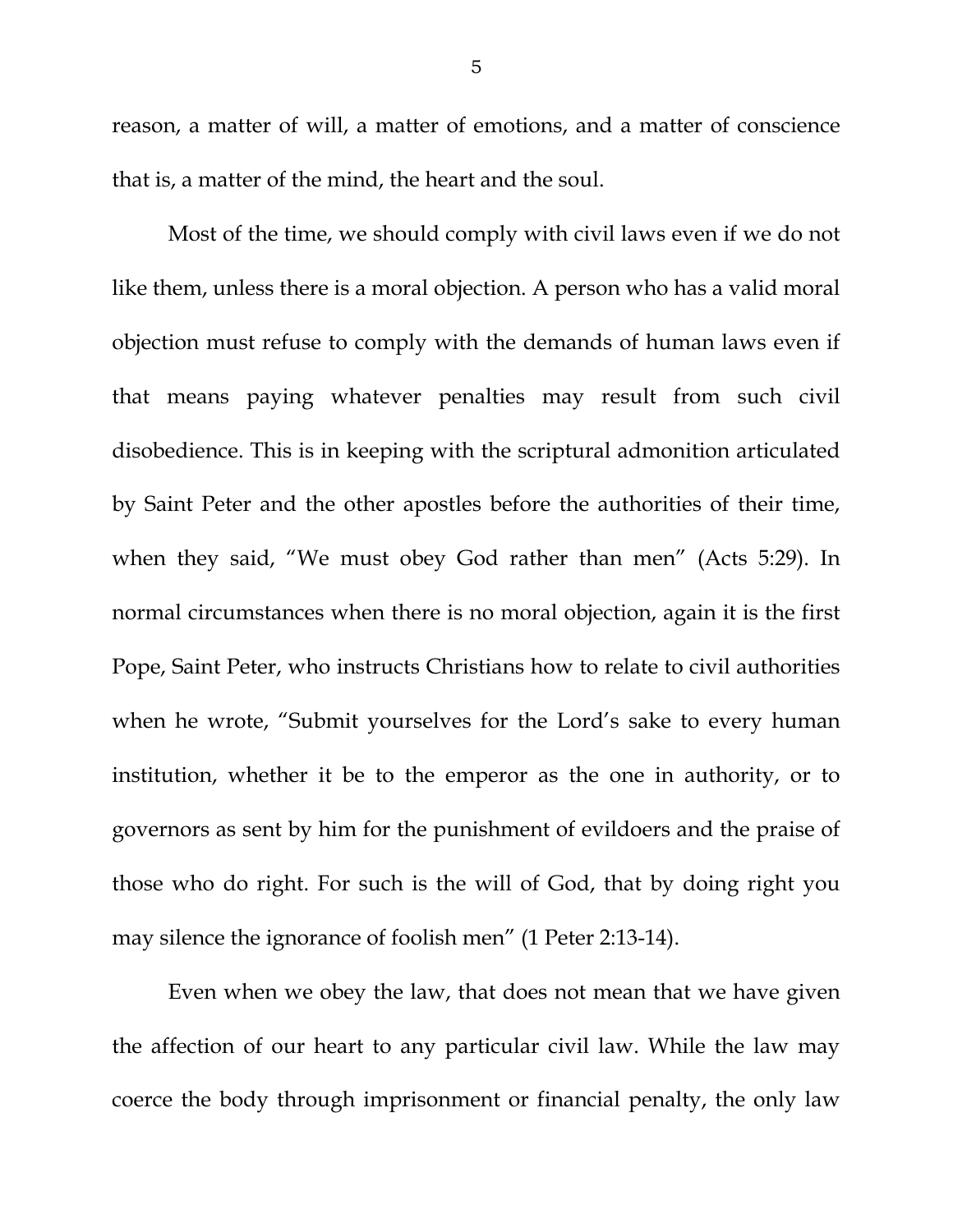reason, a matter of will, a matter of emotions, and a matter of conscience that is, a matter of the mind, the heart and the soul.

Most of the time, we should comply with civil laws even if we do not like them, unless there is a moral objection. A person who has a valid moral objection must refuse to comply with the demands of human laws even if that means paying whatever penalties may result from such civil disobedience. This is in keeping with the scriptural admonition articulated by Saint Peter and the other apostles before the authorities of their time, when they said, "We must obey God rather than men" (Acts 5:29). In normal circumstances when there is no moral objection, again it is the first Pope, Saint Peter, who instructs Christians how to relate to civil authorities when he wrote, "Submit yourselves for the Lord's sake to every human institution, whether it be to the emperor as the one in authority, or to governors as sent by him for the punishment of evildoers and the praise of those who do right. For such is the will of God, that by doing right you may silence the ignorance of foolish men" (1 Peter 2:13-14).

Even when we obey the law, that does not mean that we have given the affection of our heart to any particular civil law. While the law may coerce the body through imprisonment or financial penalty, the only law